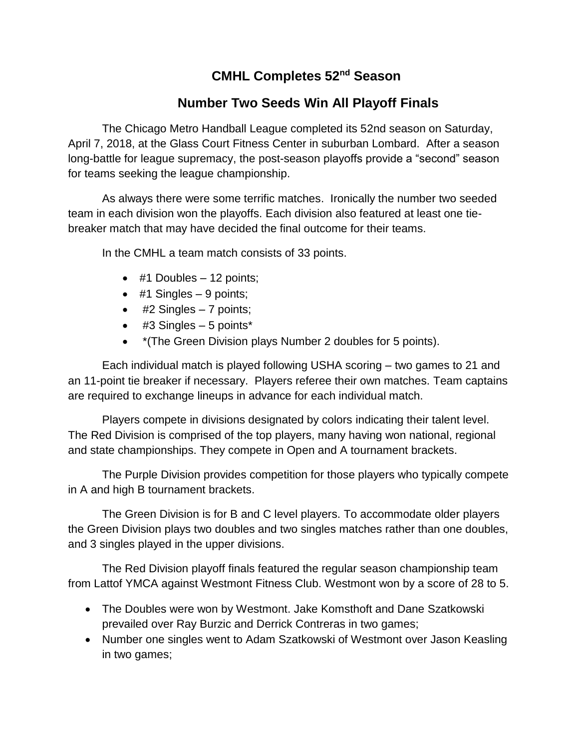# **CMHL Completes 52nd Season**

# **Number Two Seeds Win All Playoff Finals**

The Chicago Metro Handball League completed its 52nd season on Saturday, April 7, 2018, at the Glass Court Fitness Center in suburban Lombard. After a season long-battle for league supremacy, the post-season playoffs provide a "second" season for teams seeking the league championship.

As always there were some terrific matches. Ironically the number two seeded team in each division won the playoffs. Each division also featured at least one tiebreaker match that may have decided the final outcome for their teams.

In the CMHL a team match consists of 33 points.

- $\bullet$  #1 Doubles  $-$  12 points;
- $\bullet$  #1 Singles 9 points;
- $\bullet$  #2 Singles 7 points;
- $\bullet$  #3 Singles 5 points\*
- \*(The Green Division plays Number 2 doubles for 5 points).

Each individual match is played following USHA scoring – two games to 21 and an 11-point tie breaker if necessary. Players referee their own matches. Team captains are required to exchange lineups in advance for each individual match.

Players compete in divisions designated by colors indicating their talent level. The Red Division is comprised of the top players, many having won national, regional and state championships. They compete in Open and A tournament brackets.

The Purple Division provides competition for those players who typically compete in A and high B tournament brackets.

The Green Division is for B and C level players. To accommodate older players the Green Division plays two doubles and two singles matches rather than one doubles, and 3 singles played in the upper divisions.

The Red Division playoff finals featured the regular season championship team from Lattof YMCA against Westmont Fitness Club. Westmont won by a score of 28 to 5.

- The Doubles were won by Westmont. Jake Komsthoft and Dane Szatkowski prevailed over Ray Burzic and Derrick Contreras in two games;
- Number one singles went to Adam Szatkowski of Westmont over Jason Keasling in two games;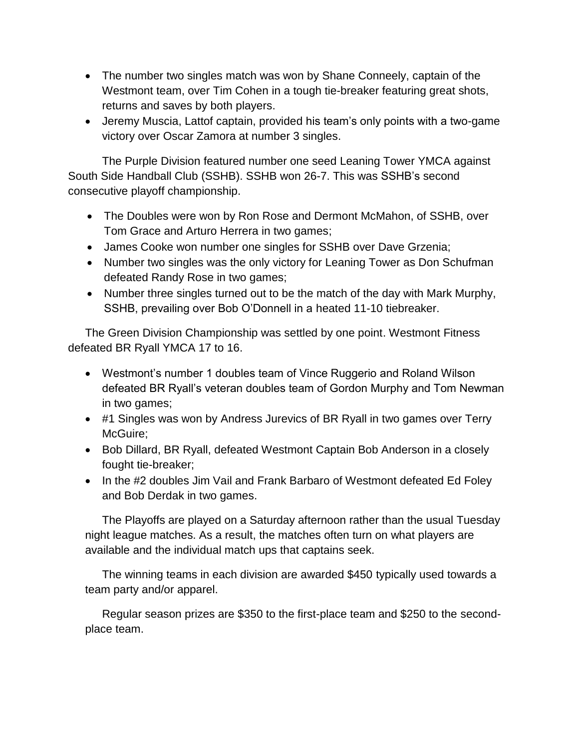- The number two singles match was won by Shane Conneely, captain of the Westmont team, over Tim Cohen in a tough tie-breaker featuring great shots, returns and saves by both players.
- Jeremy Muscia, Lattof captain, provided his team's only points with a two-game victory over Oscar Zamora at number 3 singles.

 The Purple Division featured number one seed Leaning Tower YMCA against South Side Handball Club (SSHB). SSHB won 26-7. This was SSHB's second consecutive playoff championship.

- The Doubles were won by Ron Rose and Dermont McMahon, of SSHB, over Tom Grace and Arturo Herrera in two games;
- James Cooke won number one singles for SSHB over Dave Grzenia;
- Number two singles was the only victory for Leaning Tower as Don Schufman defeated Randy Rose in two games;
- Number three singles turned out to be the match of the day with Mark Murphy, SSHB, prevailing over Bob O'Donnell in a heated 11-10 tiebreaker.

The Green Division Championship was settled by one point. Westmont Fitness defeated BR Ryall YMCA 17 to 16.

- Westmont's number 1 doubles team of Vince Ruggerio and Roland Wilson defeated BR Ryall's veteran doubles team of Gordon Murphy and Tom Newman in two games;
- #1 Singles was won by Andress Jurevics of BR Ryall in two games over Terry McGuire:
- Bob Dillard, BR Ryall, defeated Westmont Captain Bob Anderson in a closely fought tie-breaker;
- In the #2 doubles Jim Vail and Frank Barbaro of Westmont defeated Ed Foley and Bob Derdak in two games.

The Playoffs are played on a Saturday afternoon rather than the usual Tuesday night league matches. As a result, the matches often turn on what players are available and the individual match ups that captains seek.

The winning teams in each division are awarded \$450 typically used towards a team party and/or apparel.

Regular season prizes are \$350 to the first-place team and \$250 to the secondplace team.